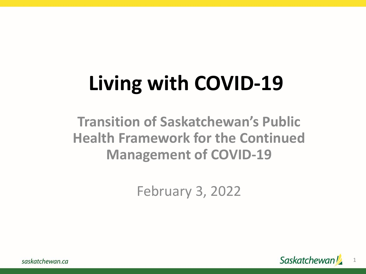# **Living with COVID-19**

### **Transition of Saskatchewan's Public Health Framework for the Continued Management of COVID-19**

February 3, 2022



saskatchewan.ca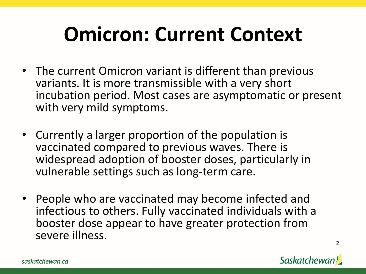### **Omicron: Current Context**

- The current Omicron variant is different than previous variants. It is more transmissible with a very short incubation period. Most cases are asymptomatic or present with very mild symptoms.
- Currently a larger proportion of the population is vaccinated compared to previous waves. There is widespread adoption of booster doses, particularly in vulnerable settings such as long-term care.
- People who are vaccinated may become infected and infectious to others. Fully vaccinated individuals with a booster dose appear to have greater protection from severe illness.



2

saskatchewan.ca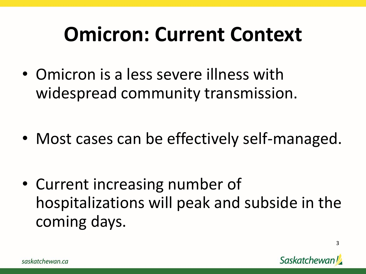### **Omicron: Current Context**

- Omicron is a less severe illness with widespread community transmission.
- Most cases can be effectively self-managed.

• Current increasing number of hospitalizations will peak and subside in the coming days.

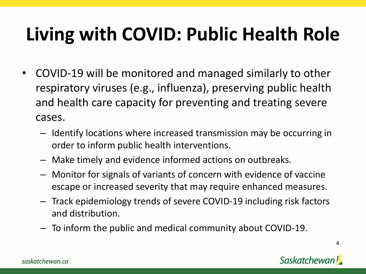### **Living with COVID: Public Health Role**

- COVID-19 will be monitored and managed similarly to other respiratory viruses (e.g., influenza), preserving public health and health care capacity for preventing and treating severe cases.
	- Identify locations where increased transmission may be occurring in order to inform public health interventions.
	- Make timely and evidence informed actions on outbreaks.
	- Monitor for signals of variants of concern with evidence of vaccine escape or increased severity that may require enhanced measures.
	- Track epidemiology trends of severe COVID-19 including risk factors and distribution.
	- To inform the public and medical community about COVID-19.

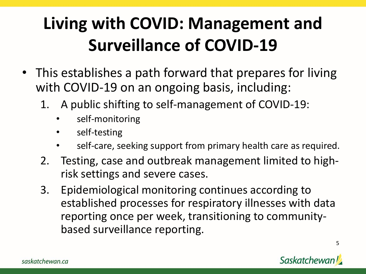### **Living with COVID: Management and Surveillance of COVID-19**

- This establishes a path forward that prepares for living with COVID-19 on an ongoing basis, including:
	- 1. A public shifting to self-management of COVID-19:
		- self-monitoring
		- self-testing
		- self-care, seeking support from primary health care as required.
	- 2. Testing, case and outbreak management limited to highrisk settings and severe cases.
	- 3. Epidemiological monitoring continues according to established processes for respiratory illnesses with data reporting once per week, transitioning to communitybased surveillance reporting.

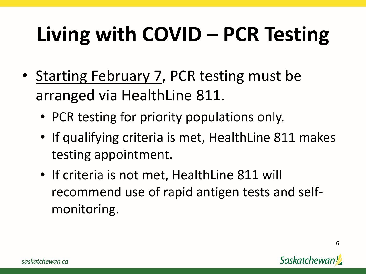# **Living with COVID – PCR Testing**

- Starting February 7, PCR testing must be arranged via HealthLine 811.
	- PCR testing for priority populations only.
	- If qualifying criteria is met, HealthLine 811 makes testing appointment.
	- If criteria is not met, HealthLine 811 will recommend use of rapid antigen tests and selfmonitoring.

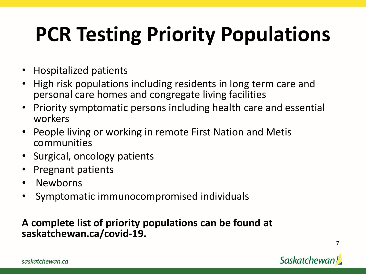# **PCR Testing Priority Populations**

- Hospitalized patients
- High risk populations including residents in long term care and personal care homes and congregate living facilities
- Priority symptomatic persons including health care and essential workers
- People living or working in remote First Nation and Metis communities
- Surgical, oncology patients
- Pregnant patients
- Newborns
- Symptomatic immunocompromised individuals

#### **A complete list of priority populations can be found at saskatchewan.ca/covid-19.**



7

saskatchewan.ca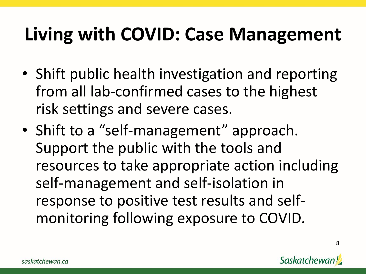### **Living with COVID: Case Management**

- Shift public health investigation and reporting from all lab-confirmed cases to the highest risk settings and severe cases.
- Shift to a "self-management" approach. Support the public with the tools and resources to take appropriate action including self-management and self-isolation in response to positive test results and selfmonitoring following exposure to COVID.

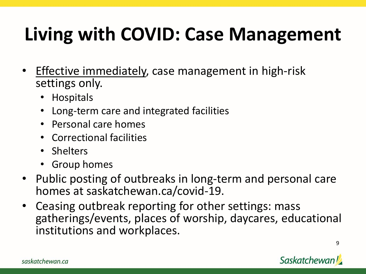### **Living with COVID: Case Management**

- Effective immediately, case management in high-risk settings only.
	- Hospitals
	- Long-term care and integrated facilities
	- Personal care homes
	- Correctional facilities
	- Shelters
	- Group homes
- Public posting of outbreaks in long-term and personal care homes at saskatchewan.ca/covid-19.
- Ceasing outbreak reporting for other settings: mass gatherings/events, places of worship, daycares, educational institutions and workplaces.

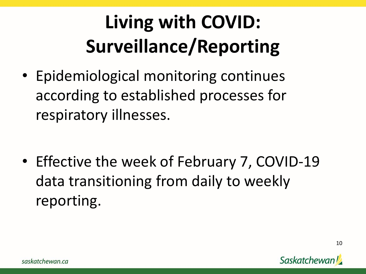## **Living with COVID: Surveillance/Reporting**

• Epidemiological monitoring continues according to established processes for respiratory illnesses.

• Effective the week of February 7, COVID-19 data transitioning from daily to weekly reporting.

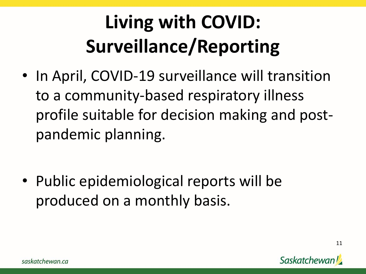## **Living with COVID: Surveillance/Reporting**

• In April, COVID-19 surveillance will transition to a community-based respiratory illness profile suitable for decision making and postpandemic planning.

• Public epidemiological reports will be produced on a monthly basis.

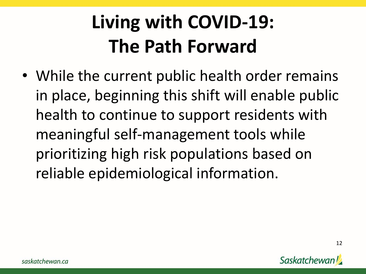### **Living with COVID-19: The Path Forward**

• While the current public health order remains in place, beginning this shift will enable public health to continue to support residents with meaningful self-management tools while prioritizing high risk populations based on reliable epidemiological information.